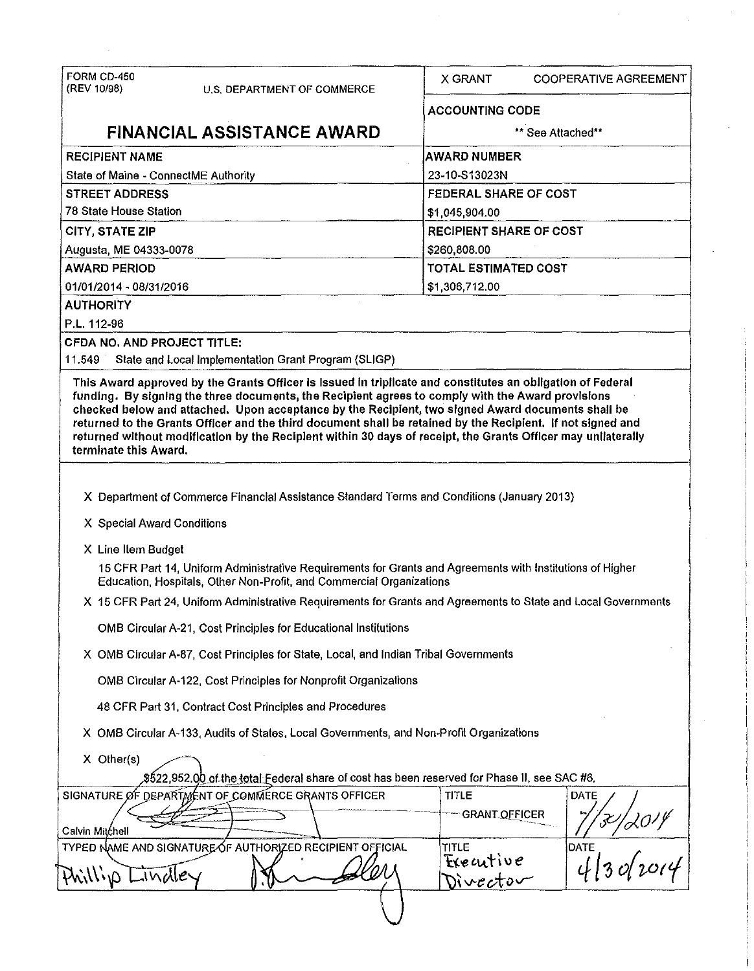|                                                                                            | <b>COOPERATIVE AGREEMENT</b>                                                                                   |  |
|--------------------------------------------------------------------------------------------|----------------------------------------------------------------------------------------------------------------|--|
| <b>ACCOUNTING CODE</b>                                                                     |                                                                                                                |  |
|                                                                                            | ** See Attached**                                                                                              |  |
| <b>AWARD NUMBER</b>                                                                        |                                                                                                                |  |
| 23-10-S13023N                                                                              |                                                                                                                |  |
| <b>FEDERAL SHARE OF COST</b>                                                               |                                                                                                                |  |
| \$1,045,904.00                                                                             |                                                                                                                |  |
| <b>RECIPIENT SHARE OF COST</b>                                                             |                                                                                                                |  |
| \$260,808.00                                                                               |                                                                                                                |  |
| <b>TOTAL ESTIMATED COST</b>                                                                |                                                                                                                |  |
| \$1,306,712.00                                                                             |                                                                                                                |  |
|                                                                                            |                                                                                                                |  |
|                                                                                            |                                                                                                                |  |
|                                                                                            |                                                                                                                |  |
|                                                                                            |                                                                                                                |  |
|                                                                                            | returned without modification by the Reciplent within 30 days of receipt, the Grants Officer may unilaterally  |  |
| X Department of Commerce Financial Assistance Standard Terms and Conditions (January 2013) |                                                                                                                |  |
|                                                                                            |                                                                                                                |  |
|                                                                                            |                                                                                                                |  |
|                                                                                            | 15 CFR Part 14, Uniform Administrative Requirements for Grants and Agreements with Institutions of Higher      |  |
|                                                                                            | X 15 CFR Part 24, Uniform Administrative Requirements for Grants and Agreements to State and Local Governments |  |
|                                                                                            |                                                                                                                |  |
| X OMB Circular A-87, Cost Principles for State, Local, and Indian Tribal Governments       |                                                                                                                |  |
|                                                                                            |                                                                                                                |  |
|                                                                                            |                                                                                                                |  |
| X OMB Circular A-133, Audits of States, Local Governments, and Non-Profit Organizations    |                                                                                                                |  |
|                                                                                            | \$522,952.00 of the total Federal share of cost has been reserved for Phase II, see SAC #6,                    |  |
|                                                                                            | DATE                                                                                                           |  |
| <b>GRANT OFFICER</b>                                                                       |                                                                                                                |  |
|                                                                                            | DATE                                                                                                           |  |
| Executive                                                                                  | 134 2014<br>And 2014                                                                                           |  |
| Divector                                                                                   |                                                                                                                |  |
|                                                                                            |                                                                                                                |  |

 $\sim$ 

 $\hat{A}$ 

 $\epsilon$ 

 $\epsilon$